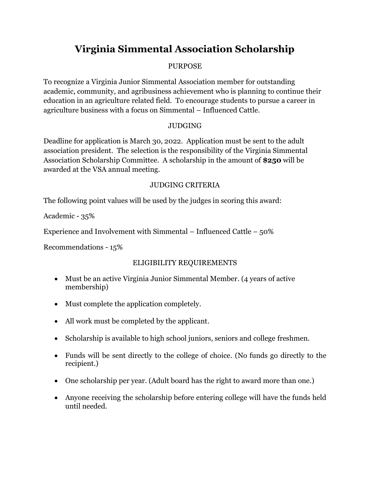## **Virginia Simmental Association Scholarship**

### PURPOSE

To recognize a Virginia Junior Simmental Association member for outstanding academic, community, and agribusiness achievement who is planning to continue their education in an agriculture related field. To encourage students to pursue a career in agriculture business with a focus on Simmental – Influenced Cattle.

#### JUDGING

Deadline for application is March 30, 2022. Application must be sent to the adult association president. The selection is the responsibility of the Virginia Simmental Association Scholarship Committee. A scholarship in the amount of **\$250** will be awarded at the VSA annual meeting.

#### JUDGING CRITERIA

The following point values will be used by the judges in scoring this award:

Academic - 35%

Experience and Involvement with Simmental – Influenced Cattle –  $50\%$ 

Recommendations - 15%

#### ELIGIBILITY REQUIREMENTS

- Must be an active Virginia Junior Simmental Member. (4 years of active membership)
- Must complete the application completely.
- All work must be completed by the applicant.
- Scholarship is available to high school juniors, seniors and college freshmen.
- Funds will be sent directly to the college of choice. (No funds go directly to the recipient.)
- One scholarship per year. (Adult board has the right to award more than one.)
- Anyone receiving the scholarship before entering college will have the funds held until needed.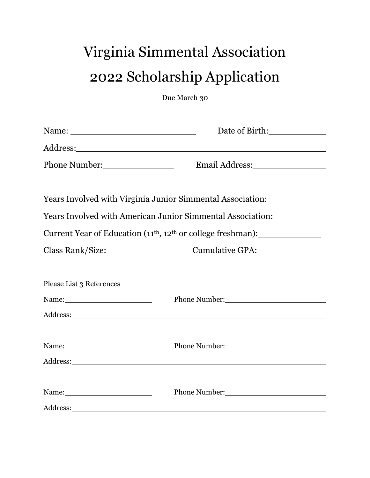# Virginia Simmental Association 2022 Scholarship Application

Due March 30

|                                                                                                                                                                                                                               | Date of Birth:                                             |  |
|-------------------------------------------------------------------------------------------------------------------------------------------------------------------------------------------------------------------------------|------------------------------------------------------------|--|
|                                                                                                                                                                                                                               |                                                            |  |
|                                                                                                                                                                                                                               |                                                            |  |
|                                                                                                                                                                                                                               |                                                            |  |
| Years Involved with Virginia Junior Simmental Association:                                                                                                                                                                    |                                                            |  |
|                                                                                                                                                                                                                               | Years Involved with American Junior Simmental Association: |  |
| Current Year of Education (11 <sup>th</sup> , 12 <sup>th</sup> or college freshman): _________________                                                                                                                        |                                                            |  |
|                                                                                                                                                                                                                               | Cumulative GPA: ________________                           |  |
|                                                                                                                                                                                                                               |                                                            |  |
| Please List 3 References                                                                                                                                                                                                      |                                                            |  |
|                                                                                                                                                                                                                               | Phone Number:                                              |  |
|                                                                                                                                                                                                                               |                                                            |  |
|                                                                                                                                                                                                                               |                                                            |  |
| Name: Name and Name and Name and Name and Name and Name and Name and Name and Name and Name and Name and Name and Name and Name and Name and Name and Name and Name and Name and Name and Name and Name and Name and Name and | Phone Number:                                              |  |
|                                                                                                                                                                                                                               |                                                            |  |
|                                                                                                                                                                                                                               |                                                            |  |
|                                                                                                                                                                                                                               | Phone Number: 1997                                         |  |
|                                                                                                                                                                                                                               |                                                            |  |